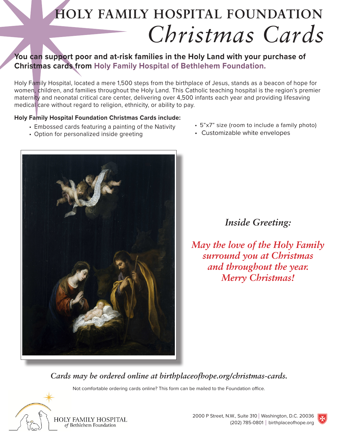# **HOLY FAMILY HOSPITAL FOUNDATION** *Christmas Cards*

### **You can support poor and at-risk families in the Holy Land with your purchase of Christmas cards from Holy Family Hospital of Bethlehem Foundation.**

Holy Family Hospital, located a mere 1,500 steps from the birthplace of Jesus, stands as a beacon of hope for women, children, and families throughout the Holy Land. This Catholic teaching hospital is the region's premier maternity and neonatal critical care center, delivering over 4,500 infants each year and providing lifesaving medical care without regard to religion, ethnicity, or ability to pay.

#### **Holy Family Hospital Foundation Christmas Cards include:**

- Embossed cards featuring a painting of the Nativity
- Option for personalized inside greeting



• Customizable white envelopes



### *Inside Greeting:*

*May the love of the Holy Family surround you at Christmas and throughout the year. Merry Christmas!*

*Cards may be ordered online at birthplaceofhope.org/christmas-cards.*

Not comfortable ordering cards online? This form can be mailed to the Foundation office.